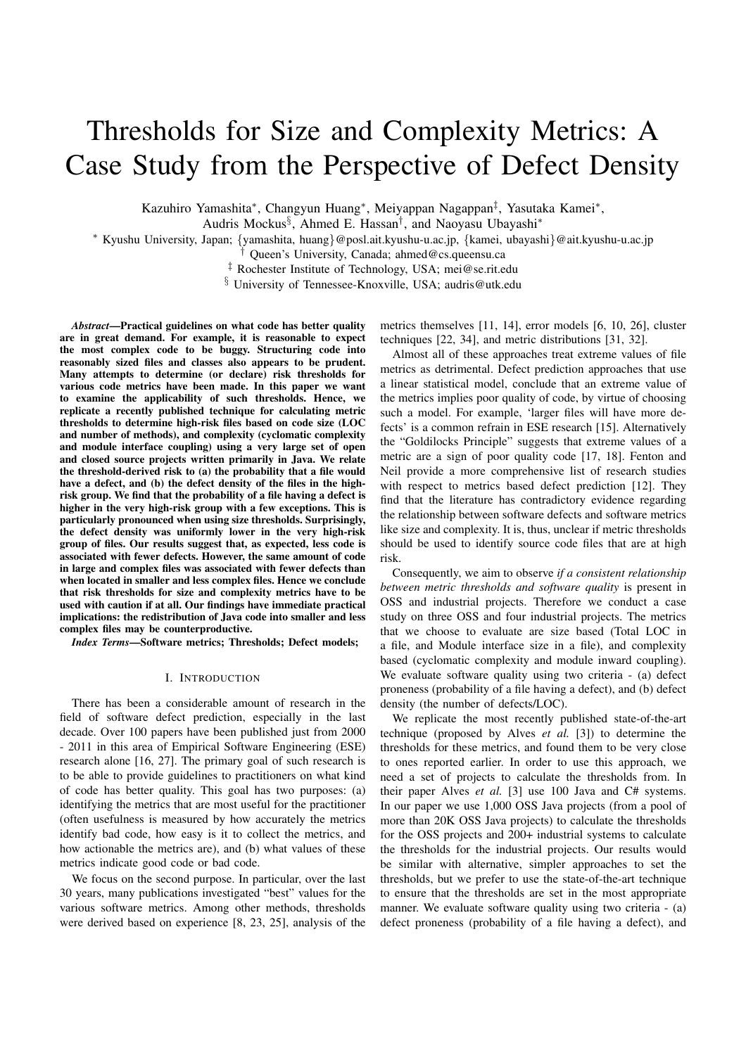# Thresholds for Size and Complexity Metrics: A Case Study from the Perspective of Defect Density

Kazuhiro Yamashita<sup>\*</sup>, Changyun Huang<sup>\*</sup>, Meiyappan Nagappan<sup>‡</sup>, Yasutaka Kamei<sup>\*</sup>,

Audris Mockus<sup>§</sup>, Ahmed E. Hassan<sup>†</sup>, and Naoyasu Ubayashi<sup>\*</sup>

⇤ Kyushu University, Japan; *{*yamashita, huang*}*@posl.ait.kyushu-u.ac.jp, *{*kamei, ubayashi*}*@ait.kyushu-u.ac.jp

*†* Queen's University, Canada; ahmed@cs.queensu.ca

*‡* Rochester Institute of Technology, USA; mei@se.rit.edu

*§* University of Tennessee-Knoxville, USA; audris@utk.edu

*Abstract*—Practical guidelines on what code has better quality are in great demand. For example, it is reasonable to expect the most complex code to be buggy. Structuring code into reasonably sized files and classes also appears to be prudent. Many attempts to determine (or declare) risk thresholds for various code metrics have been made. In this paper we want to examine the applicability of such thresholds. Hence, we replicate a recently published technique for calculating metric thresholds to determine high-risk files based on code size (LOC and number of methods), and complexity (cyclomatic complexity and module interface coupling) using a very large set of open and closed source projects written primarily in Java. We relate the threshold-derived risk to (a) the probability that a file would have a defect, and (b) the defect density of the files in the highrisk group. We find that the probability of a file having a defect is higher in the very high-risk group with a few exceptions. This is particularly pronounced when using size thresholds. Surprisingly, the defect density was uniformly lower in the very high-risk group of files. Our results suggest that, as expected, less code is associated with fewer defects. However, the same amount of code in large and complex files was associated with fewer defects than when located in smaller and less complex files. Hence we conclude that risk thresholds for size and complexity metrics have to be used with caution if at all. Our findings have immediate practical implications: the redistribution of Java code into smaller and less complex files may be counterproductive.

*Index Terms*—Software metrics; Thresholds; Defect models;

#### I. INTRODUCTION

There has been a considerable amount of research in the field of software defect prediction, especially in the last decade. Over 100 papers have been published just from 2000 - 2011 in this area of Empirical Software Engineering (ESE) research alone [16, 27]. The primary goal of such research is to be able to provide guidelines to practitioners on what kind of code has better quality. This goal has two purposes: (a) identifying the metrics that are most useful for the practitioner (often usefulness is measured by how accurately the metrics identify bad code, how easy is it to collect the metrics, and how actionable the metrics are), and (b) what values of these metrics indicate good code or bad code.

We focus on the second purpose. In particular, over the last 30 years, many publications investigated "best" values for the various software metrics. Among other methods, thresholds were derived based on experience [8, 23, 25], analysis of the

metrics themselves [11, 14], error models [6, 10, 26], cluster techniques [22, 34], and metric distributions [31, 32].

Almost all of these approaches treat extreme values of file metrics as detrimental. Defect prediction approaches that use a linear statistical model, conclude that an extreme value of the metrics implies poor quality of code, by virtue of choosing such a model. For example, 'larger files will have more defects' is a common refrain in ESE research [15]. Alternatively the "Goldilocks Principle" suggests that extreme values of a metric are a sign of poor quality code [17, 18]. Fenton and Neil provide a more comprehensive list of research studies with respect to metrics based defect prediction [12]. They find that the literature has contradictory evidence regarding the relationship between software defects and software metrics like size and complexity. It is, thus, unclear if metric thresholds should be used to identify source code files that are at high risk.

Consequently, we aim to observe *if a consistent relationship between metric thresholds and software quality* is present in OSS and industrial projects. Therefore we conduct a case study on three OSS and four industrial projects. The metrics that we choose to evaluate are size based (Total LOC in a file, and Module interface size in a file), and complexity based (cyclomatic complexity and module inward coupling). We evaluate software quality using two criteria - (a) defect proneness (probability of a file having a defect), and (b) defect density (the number of defects/LOC).

We replicate the most recently published state-of-the-art technique (proposed by Alves *et al.* [3]) to determine the thresholds for these metrics, and found them to be very close to ones reported earlier. In order to use this approach, we need a set of projects to calculate the thresholds from. In their paper Alves *et al.* [3] use 100 Java and C# systems. In our paper we use 1,000 OSS Java projects (from a pool of more than 20K OSS Java projects) to calculate the thresholds for the OSS projects and 200+ industrial systems to calculate the thresholds for the industrial projects. Our results would be similar with alternative, simpler approaches to set the thresholds, but we prefer to use the state-of-the-art technique to ensure that the thresholds are set in the most appropriate manner. We evaluate software quality using two criteria - (a) defect proneness (probability of a file having a defect), and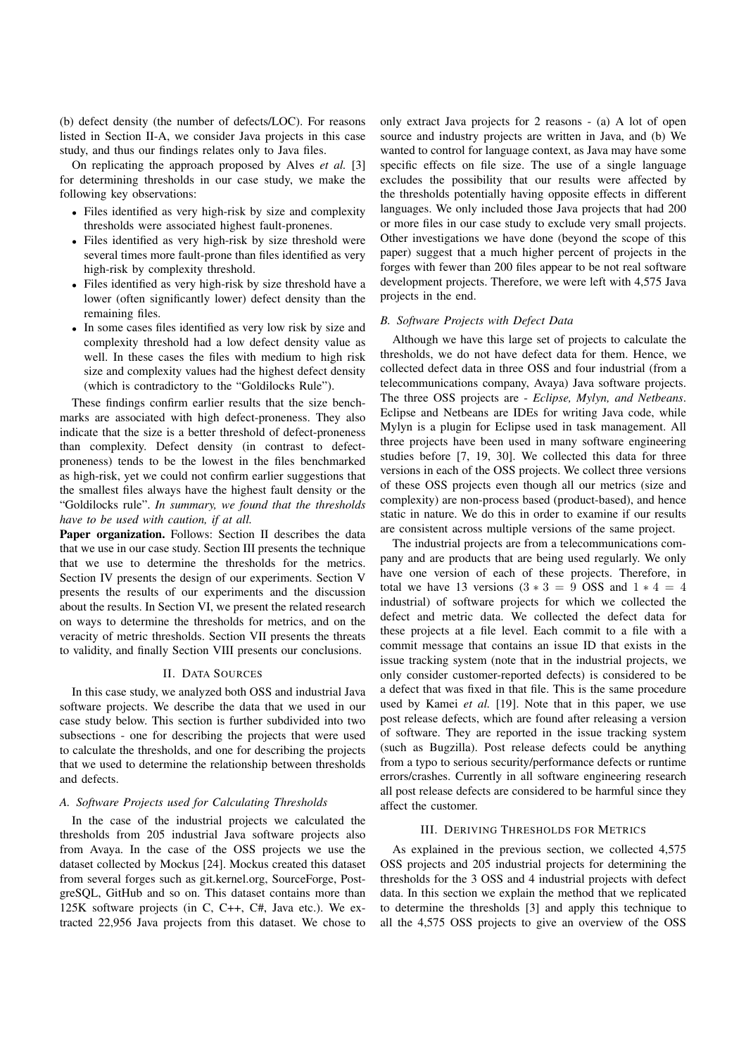(b) defect density (the number of defects/LOC). For reasons listed in Section II-A, we consider Java projects in this case study, and thus our findings relates only to Java files.

On replicating the approach proposed by Alves *et al.* [3] for determining thresholds in our case study, we make the following key observations:

- *•* Files identified as very high-risk by size and complexity thresholds were associated highest fault-pronenes.
- *•* Files identified as very high-risk by size threshold were several times more fault-prone than files identified as very high-risk by complexity threshold.
- *•* Files identified as very high-risk by size threshold have a lower (often significantly lower) defect density than the remaining files.
- *•* In some cases files identified as very low risk by size and complexity threshold had a low defect density value as well. In these cases the files with medium to high risk size and complexity values had the highest defect density (which is contradictory to the "Goldilocks Rule").

These findings confirm earlier results that the size benchmarks are associated with high defect-proneness. They also indicate that the size is a better threshold of defect-proneness than complexity. Defect density (in contrast to defectproneness) tends to be the lowest in the files benchmarked as high-risk, yet we could not confirm earlier suggestions that the smallest files always have the highest fault density or the "Goldilocks rule". *In summary, we found that the thresholds have to be used with caution, if at all.*

Paper organization. Follows: Section II describes the data that we use in our case study. Section III presents the technique that we use to determine the thresholds for the metrics. Section IV presents the design of our experiments. Section V presents the results of our experiments and the discussion about the results. In Section VI, we present the related research on ways to determine the thresholds for metrics, and on the veracity of metric thresholds. Section VII presents the threats to validity, and finally Section VIII presents our conclusions.

#### II. DATA SOURCES

In this case study, we analyzed both OSS and industrial Java software projects. We describe the data that we used in our case study below. This section is further subdivided into two subsections - one for describing the projects that were used to calculate the thresholds, and one for describing the projects that we used to determine the relationship between thresholds and defects.

## *A. Software Projects used for Calculating Thresholds*

In the case of the industrial projects we calculated the thresholds from 205 industrial Java software projects also from Avaya. In the case of the OSS projects we use the dataset collected by Mockus [24]. Mockus created this dataset from several forges such as git.kernel.org, SourceForge, PostgreSQL, GitHub and so on. This dataset contains more than 125K software projects (in C, C++, C#, Java etc.). We extracted 22,956 Java projects from this dataset. We chose to

only extract Java projects for 2 reasons - (a) A lot of open source and industry projects are written in Java, and (b) We wanted to control for language context, as Java may have some specific effects on file size. The use of a single language excludes the possibility that our results were affected by the thresholds potentially having opposite effects in different languages. We only included those Java projects that had 200 or more files in our case study to exclude very small projects. Other investigations we have done (beyond the scope of this paper) suggest that a much higher percent of projects in the forges with fewer than 200 files appear to be not real software development projects. Therefore, we were left with 4,575 Java projects in the end.

### *B. Software Projects with Defect Data*

Although we have this large set of projects to calculate the thresholds, we do not have defect data for them. Hence, we collected defect data in three OSS and four industrial (from a telecommunications company, Avaya) Java software projects. The three OSS projects are - *Eclipse, Mylyn, and Netbeans*. Eclipse and Netbeans are IDEs for writing Java code, while Mylyn is a plugin for Eclipse used in task management. All three projects have been used in many software engineering studies before [7, 19, 30]. We collected this data for three versions in each of the OSS projects. We collect three versions of these OSS projects even though all our metrics (size and complexity) are non-process based (product-based), and hence static in nature. We do this in order to examine if our results are consistent across multiple versions of the same project.

The industrial projects are from a telecommunications company and are products that are being used regularly. We only have one version of each of these projects. Therefore, in total we have 13 versions  $(3 * 3 = 9 \text{ OSS} \text{ and } 1 * 4 = 4$ industrial) of software projects for which we collected the defect and metric data. We collected the defect data for these projects at a file level. Each commit to a file with a commit message that contains an issue ID that exists in the issue tracking system (note that in the industrial projects, we only consider customer-reported defects) is considered to be a defect that was fixed in that file. This is the same procedure used by Kamei *et al.* [19]. Note that in this paper, we use post release defects, which are found after releasing a version of software. They are reported in the issue tracking system (such as Bugzilla). Post release defects could be anything from a typo to serious security/performance defects or runtime errors/crashes. Currently in all software engineering research all post release defects are considered to be harmful since they affect the customer.

#### III. DERIVING THRESHOLDS FOR METRICS

As explained in the previous section, we collected 4,575 OSS projects and 205 industrial projects for determining the thresholds for the 3 OSS and 4 industrial projects with defect data. In this section we explain the method that we replicated to determine the thresholds [3] and apply this technique to all the 4,575 OSS projects to give an overview of the OSS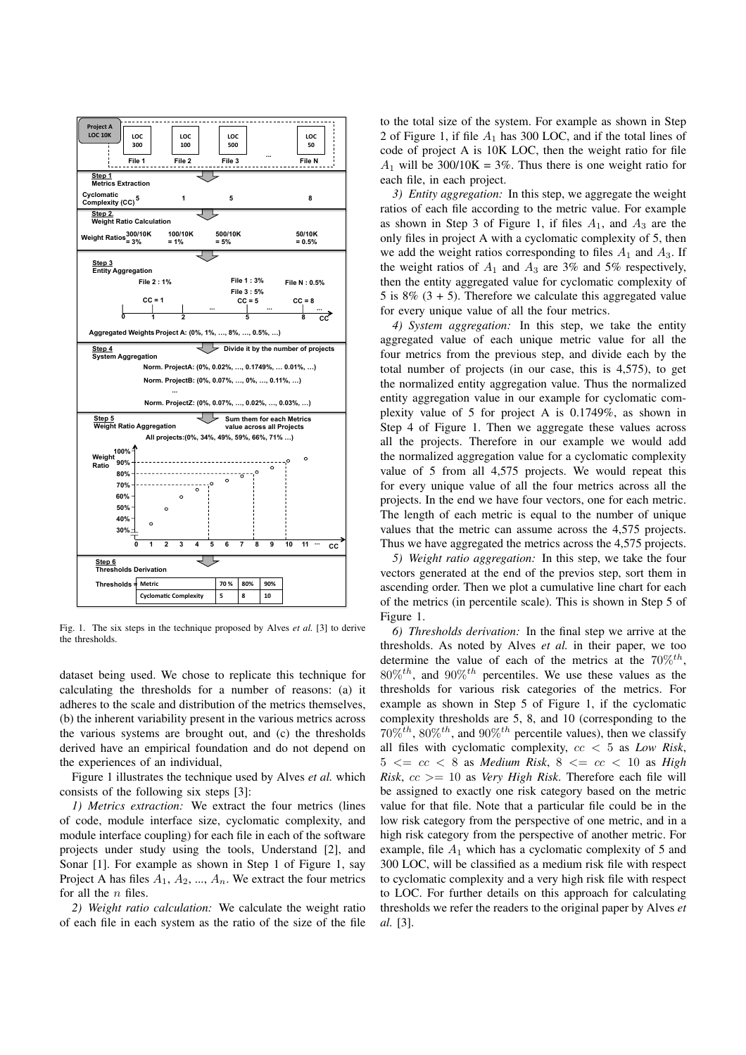

Fig. 1. The six steps in the technique proposed by Alves *et al.* [3] to derive the thresholds.

dataset being used. We chose to replicate this technique for calculating the thresholds for a number of reasons: (a) it adheres to the scale and distribution of the metrics themselves, (b) the inherent variability present in the various metrics across the various systems are brought out, and (c) the thresholds derived have an empirical foundation and do not depend on the experiences of an individual,

Figure 1 illustrates the technique used by Alves *et al.* which consists of the following six steps [3]:

*1) Metrics extraction:* We extract the four metrics (lines of code, module interface size, cyclomatic complexity, and module interface coupling) for each file in each of the software projects under study using the tools, Understand [2], and Sonar [1]. For example as shown in Step 1 of Figure 1, say Project A has files  $A_1$ ,  $A_2$ , ...,  $A_n$ . We extract the four metrics for all the *n* files.

*2) Weight ratio calculation:* We calculate the weight ratio of each file in each system as the ratio of the size of the file

to the total size of the system. For example as shown in Step 2 of Figure 1, if file  $A_1$  has 300 LOC, and if the total lines of code of project A is 10K LOC, then the weight ratio for file  $A_1$  will be 300/10K = 3%. Thus there is one weight ratio for each file, in each project.

*3) Entity aggregation:* In this step, we aggregate the weight ratios of each file according to the metric value. For example as shown in Step 3 of Figure 1, if files  $A_1$ , and  $A_3$  are the only files in project A with a cyclomatic complexity of 5, then we add the weight ratios corresponding to files  $A_1$  and  $A_3$ . If the weight ratios of  $A_1$  and  $A_3$  are 3% and 5% respectively, then the entity aggregated value for cyclomatic complexity of 5 is 8%  $(3 + 5)$ . Therefore we calculate this aggregated value for every unique value of all the four metrics.

*4) System aggregation:* In this step, we take the entity aggregated value of each unique metric value for all the four metrics from the previous step, and divide each by the total number of projects (in our case, this is 4,575), to get the normalized entity aggregation value. Thus the normalized entity aggregation value in our example for cyclomatic complexity value of 5 for project A is 0.1749%, as shown in Step 4 of Figure 1. Then we aggregate these values across all the projects. Therefore in our example we would add the normalized aggregation value for a cyclomatic complexity value of 5 from all 4,575 projects. We would repeat this for every unique value of all the four metrics across all the projects. In the end we have four vectors, one for each metric. The length of each metric is equal to the number of unique values that the metric can assume across the 4,575 projects. Thus we have aggregated the metrics across the 4,575 projects.

*5) Weight ratio aggregation:* In this step, we take the four vectors generated at the end of the previos step, sort them in ascending order. Then we plot a cumulative line chart for each of the metrics (in percentile scale). This is shown in Step 5 of Figure 1.

*6) Thresholds derivation:* In the final step we arrive at the thresholds. As noted by Alves *et al.* in their paper, we too determine the value of each of the metrics at the 70%*th*,  $80\%$ <sup>th</sup>, and  $90\%$ <sup>th</sup> percentiles. We use these values as the thresholds for various risk categories of the metrics. For example as shown in Step 5 of Figure 1, if the cyclomatic complexity thresholds are 5, 8, and 10 (corresponding to the  $70\%$ <sup>th</sup>,  $80\%$ <sup>th</sup>, and  $90\%$ <sup>th</sup> percentile values), then we classify all files with cyclomatic complexity, *cc <* 5 as *Low Risk*,  $5 \leq c \leq 8$  as *Medium Risk*,  $8 \leq c \leq 10$  as *High Risk*, *cc >*= 10 as *Very High Risk*. Therefore each file will be assigned to exactly one risk category based on the metric value for that file. Note that a particular file could be in the low risk category from the perspective of one metric, and in a high risk category from the perspective of another metric. For example, file  $A_1$  which has a cyclomatic complexity of 5 and 300 LOC, will be classified as a medium risk file with respect to cyclomatic complexity and a very high risk file with respect to LOC. For further details on this approach for calculating thresholds we refer the readers to the original paper by Alves *et al.* [3].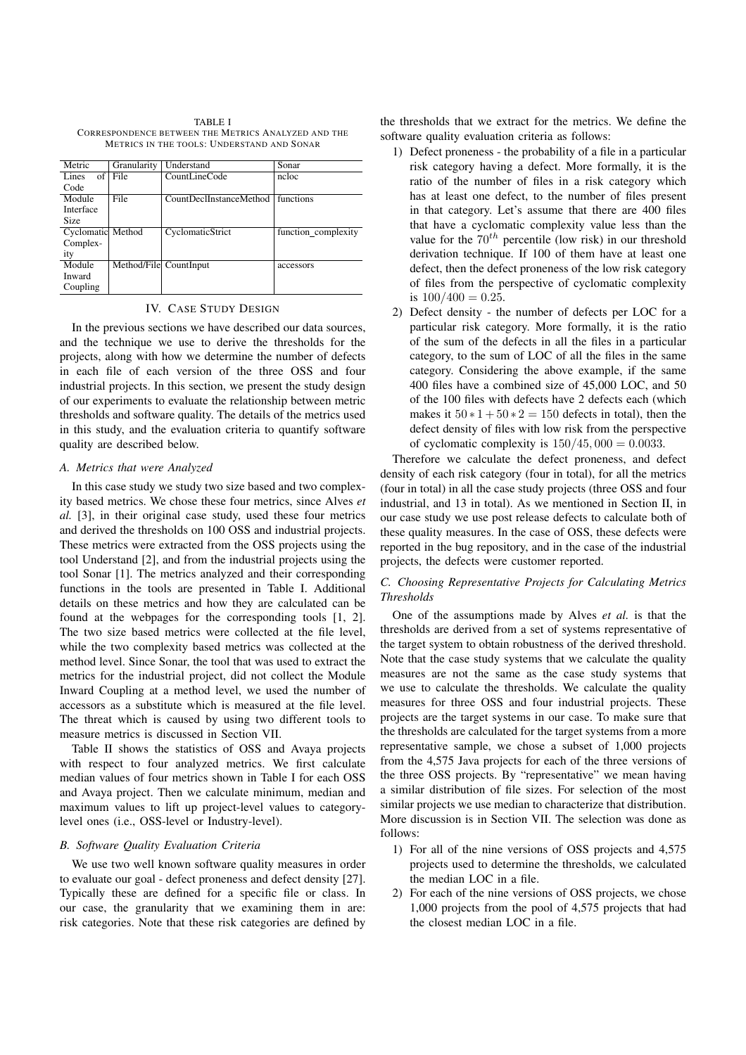| Metric                   | Granularity            | Understand              | Sonar               |
|--------------------------|------------------------|-------------------------|---------------------|
| Lines<br>of              | File                   | CountLineCode           | ncloc               |
| Code                     |                        |                         |                     |
| Module                   | File                   | CountDeclInstanceMethod | functions           |
| Interface                |                        |                         |                     |
| <b>Size</b>              |                        |                         |                     |
| <b>Cyclomatic</b> Method |                        | CyclomaticStrict        | function_complexity |
| Complex-                 |                        |                         |                     |
| ity                      |                        |                         |                     |
| Module                   | Method/File CountInput |                         | accessors           |
| Inward                   |                        |                         |                     |
| Coupling                 |                        |                         |                     |

TABLE I CORRESPONDENCE BETWEEN THE METRICS ANALYZED AND THE METRICS IN THE TOOLS: UNDERSTAND AND SONAR

#### IV. CASE STUDY DESIGN

In the previous sections we have described our data sources, and the technique we use to derive the thresholds for the projects, along with how we determine the number of defects in each file of each version of the three OSS and four industrial projects. In this section, we present the study design of our experiments to evaluate the relationship between metric thresholds and software quality. The details of the metrics used in this study, and the evaluation criteria to quantify software quality are described below.

#### *A. Metrics that were Analyzed*

In this case study we study two size based and two complexity based metrics. We chose these four metrics, since Alves *et al.* [3], in their original case study, used these four metrics and derived the thresholds on 100 OSS and industrial projects. These metrics were extracted from the OSS projects using the tool Understand [2], and from the industrial projects using the tool Sonar [1]. The metrics analyzed and their corresponding functions in the tools are presented in Table I. Additional details on these metrics and how they are calculated can be found at the webpages for the corresponding tools [1, 2]. The two size based metrics were collected at the file level, while the two complexity based metrics was collected at the method level. Since Sonar, the tool that was used to extract the metrics for the industrial project, did not collect the Module Inward Coupling at a method level, we used the number of accessors as a substitute which is measured at the file level. The threat which is caused by using two different tools to measure metrics is discussed in Section VII.

Table II shows the statistics of OSS and Avaya projects with respect to four analyzed metrics. We first calculate median values of four metrics shown in Table I for each OSS and Avaya project. Then we calculate minimum, median and maximum values to lift up project-level values to categorylevel ones (i.e., OSS-level or Industry-level).

# *B. Software Quality Evaluation Criteria*

We use two well known software quality measures in order to evaluate our goal - defect proneness and defect density [27]. Typically these are defined for a specific file or class. In our case, the granularity that we examining them in are: risk categories. Note that these risk categories are defined by

the thresholds that we extract for the metrics. We define the software quality evaluation criteria as follows:

- 1) Defect proneness the probability of a file in a particular risk category having a defect. More formally, it is the ratio of the number of files in a risk category which has at least one defect, to the number of files present in that category. Let's assume that there are 400 files that have a cyclomatic complexity value less than the value for the 70*th* percentile (low risk) in our threshold derivation technique. If 100 of them have at least one defect, then the defect proneness of the low risk category of files from the perspective of cyclomatic complexity is  $100/400 = 0.25$ .
- 2) Defect density the number of defects per LOC for a particular risk category. More formally, it is the ratio of the sum of the defects in all the files in a particular category, to the sum of LOC of all the files in the same category. Considering the above example, if the same 400 files have a combined size of 45,000 LOC, and 50 of the 100 files with defects have 2 defects each (which makes it  $50 * 1 + 50 * 2 = 150$  defects in total), then the defect density of files with low risk from the perspective of cyclomatic complexity is 150*/*45*,* 000 = 0*.*0033.

Therefore we calculate the defect proneness, and defect density of each risk category (four in total), for all the metrics (four in total) in all the case study projects (three OSS and four industrial, and 13 in total). As we mentioned in Section II, in our case study we use post release defects to calculate both of these quality measures. In the case of OSS, these defects were reported in the bug repository, and in the case of the industrial projects, the defects were customer reported.

# *C. Choosing Representative Projects for Calculating Metrics Thresholds*

One of the assumptions made by Alves *et al.* is that the thresholds are derived from a set of systems representative of the target system to obtain robustness of the derived threshold. Note that the case study systems that we calculate the quality measures are not the same as the case study systems that we use to calculate the thresholds. We calculate the quality measures for three OSS and four industrial projects. These projects are the target systems in our case. To make sure that the thresholds are calculated for the target systems from a more representative sample, we chose a subset of 1,000 projects from the 4,575 Java projects for each of the three versions of the three OSS projects. By "representative" we mean having a similar distribution of file sizes. For selection of the most similar projects we use median to characterize that distribution. More discussion is in Section VII. The selection was done as follows:

- 1) For all of the nine versions of OSS projects and 4,575 projects used to determine the thresholds, we calculated the median LOC in a file.
- 2) For each of the nine versions of OSS projects, we chose 1,000 projects from the pool of 4,575 projects that had the closest median LOC in a file.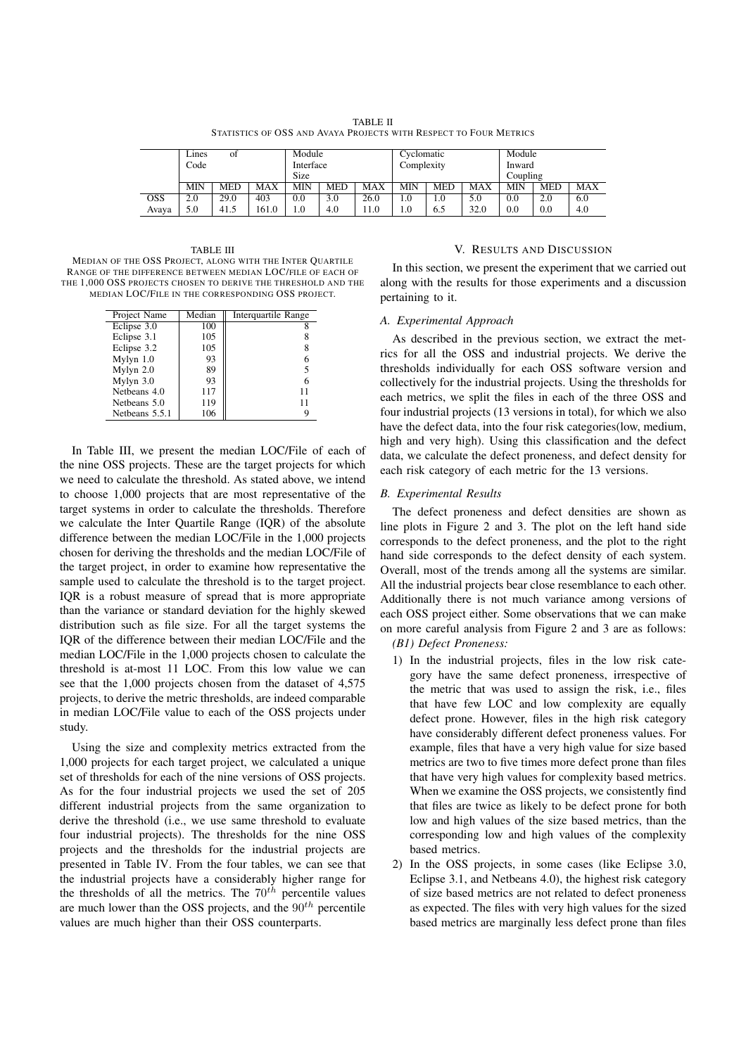TABLE II STATISTICS OF OSS AND AVAYA PROJECTS WITH RESPECT TO FOUR METRICS

|       | Lines      | Оİ         |                         | Module    |                           |                         | Cvclomatic |            |      | Module   |            |            |
|-------|------------|------------|-------------------------|-----------|---------------------------|-------------------------|------------|------------|------|----------|------------|------------|
|       | Code       |            |                         | Interface |                           |                         | Complexity |            |      | Inward   |            |            |
|       |            | Size       |                         |           |                           |                         |            |            |      | Coupling |            |            |
|       | <b>MIN</b> | <b>MED</b> | $\overline{\text{MAX}}$ | MIN       | $\overline{\mathrm{MED}}$ | $\overline{\text{MAX}}$ | MIN        | <b>MED</b> | MAX  | MIN      | <b>MED</b> | <b>MAX</b> |
| OSS   | 2.0        | 29.0       | 403                     | 0.0       | 3.0                       | 26.0                    | 1.0        | 0.1        | 5.0  | 0.0      | 2.0        | 6.0        |
| Avava | 5.0        | 41.5       | 161.0                   | 1.0       | 4.0                       | 1.0                     | 1.0        | 6.5        | 32.0 | 0.0      | 0.0        | 4.0        |

TABLE III MEDIAN OF THE OSS PROJECT, ALONG WITH THE INTER QUARTILE RANGE OF THE DIFFERENCE BETWEEN MEDIAN LOC/FILE OF EACH OF THE 1,000 OSS PROJECTS CHOSEN TO DERIVE THE THRESHOLD AND THE MEDIAN LOC/FILE IN THE CORRESPONDING OSS PROJECT.

| Project Name   | Median | Interquartile Range |
|----------------|--------|---------------------|
| Eclipse 3.0    | 100    |                     |
| Eclipse 3.1    | 105    |                     |
| Eclipse 3.2    | 105    | 8                   |
| Mylyn 1.0      | 93     |                     |
| Mylyn $2.0$    | 89     | 5                   |
| Mylyn 3.0      | 93     |                     |
| Netheans 4.0   | 117    | 11                  |
| Netheans 5.0   | 119    | 11                  |
| Netbeans 5.5.1 | 106    |                     |

In Table III, we present the median LOC/File of each of the nine OSS projects. These are the target projects for which we need to calculate the threshold. As stated above, we intend to choose 1,000 projects that are most representative of the target systems in order to calculate the thresholds. Therefore we calculate the Inter Quartile Range (IQR) of the absolute difference between the median LOC/File in the 1,000 projects chosen for deriving the thresholds and the median LOC/File of the target project, in order to examine how representative the sample used to calculate the threshold is to the target project. IQR is a robust measure of spread that is more appropriate than the variance or standard deviation for the highly skewed distribution such as file size. For all the target systems the IQR of the difference between their median LOC/File and the median LOC/File in the 1,000 projects chosen to calculate the threshold is at-most 11 LOC. From this low value we can see that the 1,000 projects chosen from the dataset of 4,575 projects, to derive the metric thresholds, are indeed comparable in median LOC/File value to each of the OSS projects under study.

Using the size and complexity metrics extracted from the 1,000 projects for each target project, we calculated a unique set of thresholds for each of the nine versions of OSS projects. As for the four industrial projects we used the set of 205 different industrial projects from the same organization to derive the threshold (i.e., we use same threshold to evaluate four industrial projects). The thresholds for the nine OSS projects and the thresholds for the industrial projects are presented in Table IV. From the four tables, we can see that the industrial projects have a considerably higher range for the thresholds of all the metrics. The 70*th* percentile values are much lower than the OSS projects, and the 90*th* percentile values are much higher than their OSS counterparts.

## V. RESULTS AND DISCUSSION

In this section, we present the experiment that we carried out along with the results for those experiments and a discussion pertaining to it.

## *A. Experimental Approach*

As described in the previous section, we extract the metrics for all the OSS and industrial projects. We derive the thresholds individually for each OSS software version and collectively for the industrial projects. Using the thresholds for each metrics, we split the files in each of the three OSS and four industrial projects (13 versions in total), for which we also have the defect data, into the four risk categories(low, medium, high and very high). Using this classification and the defect data, we calculate the defect proneness, and defect density for each risk category of each metric for the 13 versions.

### *B. Experimental Results*

based metrics.

The defect proneness and defect densities are shown as line plots in Figure 2 and 3. The plot on the left hand side corresponds to the defect proneness, and the plot to the right hand side corresponds to the defect density of each system. Overall, most of the trends among all the systems are similar. All the industrial projects bear close resemblance to each other. Additionally there is not much variance among versions of each OSS project either. Some observations that we can make on more careful analysis from Figure 2 and 3 are as follows: *(B1) Defect Proneness:*

1) In the industrial projects, files in the low risk category have the same defect proneness, irrespective of the metric that was used to assign the risk, i.e., files that have few LOC and low complexity are equally defect prone. However, files in the high risk category have considerably different defect proneness values. For example, files that have a very high value for size based metrics are two to five times more defect prone than files that have very high values for complexity based metrics. When we examine the OSS projects, we consistently find that files are twice as likely to be defect prone for both low and high values of the size based metrics, than the corresponding low and high values of the complexity

# 2) In the OSS projects, in some cases (like Eclipse 3.0, Eclipse 3.1, and Netbeans 4.0), the highest risk category of size based metrics are not related to defect proneness as expected. The files with very high values for the sized based metrics are marginally less defect prone than files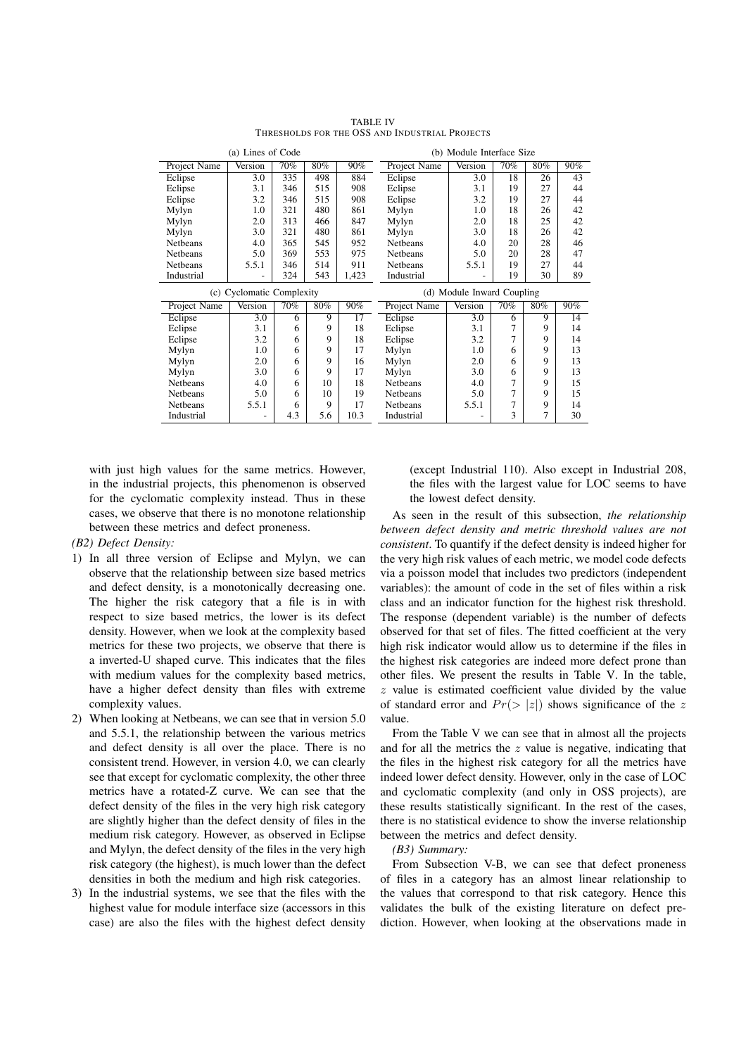| (a) Lines of Code         |         |     |     | (b) Module Interface Size |                            |                  |     |     |     |
|---------------------------|---------|-----|-----|---------------------------|----------------------------|------------------|-----|-----|-----|
| Project Name              | Version | 70% | 80% | 90%                       | Project Name               | Version          | 70% | 80% | 90% |
| Eclipse                   | 3.0     | 335 | 498 | 884                       | Eclipse                    | $\overline{3.0}$ | 18  | 26  | 43  |
| Eclipse                   | 3.1     | 346 | 515 | 908                       | Eclipse                    | 3.1              | 19  | 27  | 44  |
| Eclipse                   | 3.2     | 346 | 515 | 908                       | Eclipse                    | 3.2              | 19  | 27  | 44  |
| Mylyn                     | 1.0     | 321 | 480 | 861                       | Mylyn                      | 1.0              | 18  | 26  | 42  |
| Mylyn                     | 2.0     | 313 | 466 | 847                       | Mylyn                      | 2.0              | 18  | 25  | 42  |
| Mylyn                     | 3.0     | 321 | 480 | 861                       | Mylyn                      | 3.0              | 18  | 26  | 42  |
| <b>Netbeans</b>           | 4.0     | 365 | 545 | 952                       | <b>Netbeans</b>            | 4.0              | 20  | 28  | 46  |
| <b>Netbeans</b>           | 5.0     | 369 | 553 | 975                       | Netbeans                   | 5.0              | 20  | 28  | 47  |
| <b>Netbeans</b>           | 5.5.1   | 346 | 514 | 911                       | Netbeans                   | 5.5.1            | 19  | 27  | 44  |
| Industrial                |         | 324 | 543 | 1,423                     | Industrial                 |                  | 19  | 30  | 89  |
| (c) Cyclomatic Complexity |         |     |     |                           | (d) Module Inward Coupling |                  |     |     |     |
| Project Name              | Version | 70% | 80% | 90%                       | Project Name               | Version          | 70% | 80% | 90% |
| Eclipse                   | 3.0     | 6   | 9   | $\overline{17}$           | Eclipse                    | 3.0              | 6   | 9   | 14  |
| Eclipse                   | 3.1     | 6   | 9   | 18                        | Eclipse                    | 3.1              | 7   | 9   | 14  |
| Eclipse                   | 3.2     | 6   | 9   | 18                        | Eclipse                    | 3.2              | 7   | 9   | 14  |
| Mylyn                     | 1.0     | 6   | 9   | 17                        | Mylyn                      | 1.0              | 6   | 9   | 13  |
| Mylyn                     | 2.0     | 6   | 9   | 16                        | Mylyn                      | 2.0              | 6   | 9   | 13  |
| Mylyn                     | 3.0     | 6   | 9   | 17                        | Mylyn                      | 3.0              | 6   | 9   | 13  |
| <b>Netbeans</b>           | 4.0     | 6   | 10  | 18                        | <b>Netbeans</b>            | 4.0              | 7   | 9   | 15  |
| Netbeans                  | 5.0     | 6   | 10  | 19                        | <b>Netbeans</b>            | 5.0              | 7   | 9   | 15  |
| Netbeans                  | 5.5.1   | 6   | 9   | 17                        | Netbeans                   | 5.5.1            | 7   | 9   | 14  |
| Industrial                |         | 4.3 | 5.6 | 10.3                      | Industrial                 |                  | 3   | 7   | 30  |

TABLE IV THRESHOLDS FOR THE OSS AND INDUSTRIAL PROJECTS

with just high values for the same metrics. However, in the industrial projects, this phenomenon is observed for the cyclomatic complexity instead. Thus in these cases, we observe that there is no monotone relationship between these metrics and defect proneness.

## *(B2) Defect Density:*

- 1) In all three version of Eclipse and Mylyn, we can observe that the relationship between size based metrics and defect density, is a monotonically decreasing one. The higher the risk category that a file is in with respect to size based metrics, the lower is its defect density. However, when we look at the complexity based metrics for these two projects, we observe that there is a inverted-U shaped curve. This indicates that the files with medium values for the complexity based metrics, have a higher defect density than files with extreme complexity values.
- 2) When looking at Netbeans, we can see that in version 5.0 and 5.5.1, the relationship between the various metrics and defect density is all over the place. There is no consistent trend. However, in version 4.0, we can clearly see that except for cyclomatic complexity, the other three metrics have a rotated-Z curve. We can see that the defect density of the files in the very high risk category are slightly higher than the defect density of files in the medium risk category. However, as observed in Eclipse and Mylyn, the defect density of the files in the very high risk category (the highest), is much lower than the defect densities in both the medium and high risk categories.
- 3) In the industrial systems, we see that the files with the highest value for module interface size (accessors in this case) are also the files with the highest defect density

(except Industrial 110). Also except in Industrial 208, the files with the largest value for LOC seems to have the lowest defect density.

As seen in the result of this subsection, *the relationship between defect density and metric threshold values are not consistent*. To quantify if the defect density is indeed higher for the very high risk values of each metric, we model code defects via a poisson model that includes two predictors (independent variables): the amount of code in the set of files within a risk class and an indicator function for the highest risk threshold. The response (dependent variable) is the number of defects observed for that set of files. The fitted coefficient at the very high risk indicator would allow us to determine if the files in the highest risk categories are indeed more defect prone than other files. We present the results in Table V. In the table, *z* value is estimated coefficient value divided by the value of standard error and  $Pr(>|z|)$  shows significance of the z value.

From the Table V we can see that in almost all the projects and for all the metrics the *z* value is negative, indicating that the files in the highest risk category for all the metrics have indeed lower defect density. However, only in the case of LOC and cyclomatic complexity (and only in OSS projects), are these results statistically significant. In the rest of the cases, there is no statistical evidence to show the inverse relationship between the metrics and defect density.

#### *(B3) Summary:*

From Subsection V-B, we can see that defect proneness of files in a category has an almost linear relationship to the values that correspond to that risk category. Hence this validates the bulk of the existing literature on defect prediction. However, when looking at the observations made in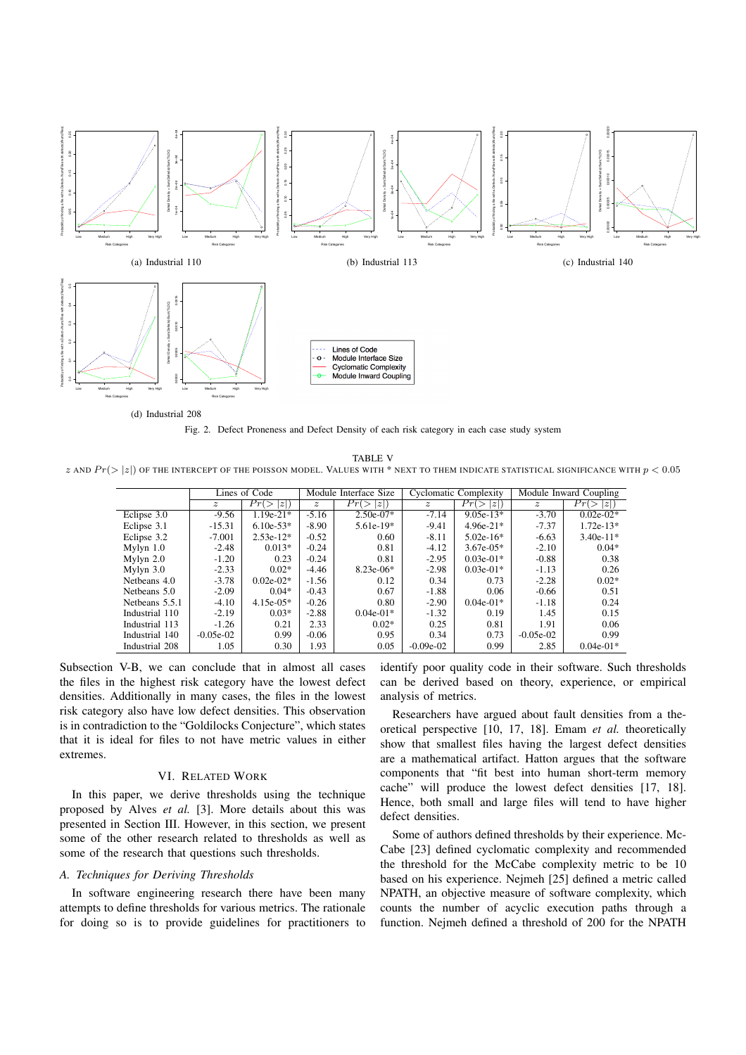

Fig. 2. Defect Proneness and Defect Density of each risk category in each case study system

TABLE V *z* AND  $Pr(> |z|)$  of the intercept of the poisson model. Values with  $*$  next to them indicate statistical significance with  $p < 0.05$ 

|                | Lines of Code    |             |                  | Module Interface Size |                  | <b>Cyclomatic Complexity</b> | Module Inward Coupling |             |  |
|----------------|------------------|-------------|------------------|-----------------------|------------------|------------------------------|------------------------|-------------|--|
|                | $\boldsymbol{z}$ | Pr(><br> z  | $\boldsymbol{z}$ | Pr(><br> z            | $\boldsymbol{z}$ | Pr(<br> z                    | $\overline{z}$         | Pr(<br> z   |  |
| Eclipse 3.0    | $-9.56$          | $1.19e-21*$ | $-5.16$          | $2.50e-07*$           | $-7.14$          | $9.05e-13*$                  | $-3.70$                | $0.02e-02*$ |  |
| Eclipse 3.1    | $-15.31$         | $6.10e-53*$ | $-8.90$          | $5.61e-19*$           | $-9.41$          | $4.96e-21*$                  | $-7.37$                | $1.72e-13*$ |  |
| Eclipse 3.2    | $-7.001$         | $2.53e-12*$ | $-0.52$          | 0.60                  | $-8.11$          | $5.02e-16*$                  | $-6.63$                | $3.40e-11*$ |  |
| $M$ ylyn $1.0$ | $-2.48$          | $0.013*$    | $-0.24$          | 0.81                  | $-4.12$          | $3.67e-05*$                  | $-2.10$                | $0.04*$     |  |
| Mylyn $2.0$    | $-1.20$          | 0.23        | $-0.24$          | 0.81                  | $-2.95$          | $0.03e-01*$                  | $-0.88$                | 0.38        |  |
| Mylyn $3.0$    | $-2.33$          | $0.02*$     | $-4.46$          | $8.23e-06*$           | $-2.98$          | $0.03e-01*$                  | $-1.13$                | 0.26        |  |
| Netbeans 4.0   | $-3.78$          | $0.02e-02*$ | $-1.56$          | 0.12                  | 0.34             | 0.73                         | $-2.28$                | $0.02*$     |  |
| Netbeans 5.0   | $-2.09$          | $0.04*$     | $-0.43$          | 0.67                  | $-1.88$          | 0.06                         | $-0.66$                | 0.51        |  |
| Netbeans 5.5.1 | $-4.10$          | $4.15e-05*$ | $-0.26$          | 0.80                  | $-2.90$          | $0.04e-01*$                  | $-1.18$                | 0.24        |  |
| Industrial 110 | $-2.19$          | $0.03*$     | $-2.88$          | $0.04e-01*$           | $-1.32$          | 0.19                         | 1.45                   | 0.15        |  |
| Industrial 113 | $-1.26$          | 0.21        | 2.33             | $0.02*$               | 0.25             | 0.81                         | 1.91                   | 0.06        |  |
| Industrial 140 | $-0.05e-02$      | 0.99        | $-0.06$          | 0.95                  | 0.34             | 0.73                         | $-0.05e-02$            | 0.99        |  |
| Industrial 208 | 1.05             | 0.30        | 1.93             | 0.05                  | $-0.09e-02$      | 0.99                         | 2.85                   | $0.04e-01*$ |  |

Subsection V-B, we can conclude that in almost all cases the files in the highest risk category have the lowest defect densities. Additionally in many cases, the files in the lowest risk category also have low defect densities. This observation is in contradiction to the "Goldilocks Conjecture", which states that it is ideal for files to not have metric values in either extremes.

## VI. RELATED WORK

In this paper, we derive thresholds using the technique proposed by Alves *et al.* [3]. More details about this was presented in Section III. However, in this section, we present some of the other research related to thresholds as well as some of the research that questions such thresholds.

#### *A. Techniques for Deriving Thresholds*

In software engineering research there have been many attempts to define thresholds for various metrics. The rationale for doing so is to provide guidelines for practitioners to identify poor quality code in their software. Such thresholds can be derived based on theory, experience, or empirical analysis of metrics.

Researchers have argued about fault densities from a theoretical perspective [10, 17, 18]. Emam *et al.* theoretically show that smallest files having the largest defect densities are a mathematical artifact. Hatton argues that the software components that "fit best into human short-term memory cache" will produce the lowest defect densities [17, 18]. Hence, both small and large files will tend to have higher defect densities.

Some of authors defined thresholds by their experience. Mc-Cabe [23] defined cyclomatic complexity and recommended the threshold for the McCabe complexity metric to be 10 based on his experience. Nejmeh [25] defined a metric called NPATH, an objective measure of software complexity, which counts the number of acyclic execution paths through a function. Nejmeh defined a threshold of 200 for the NPATH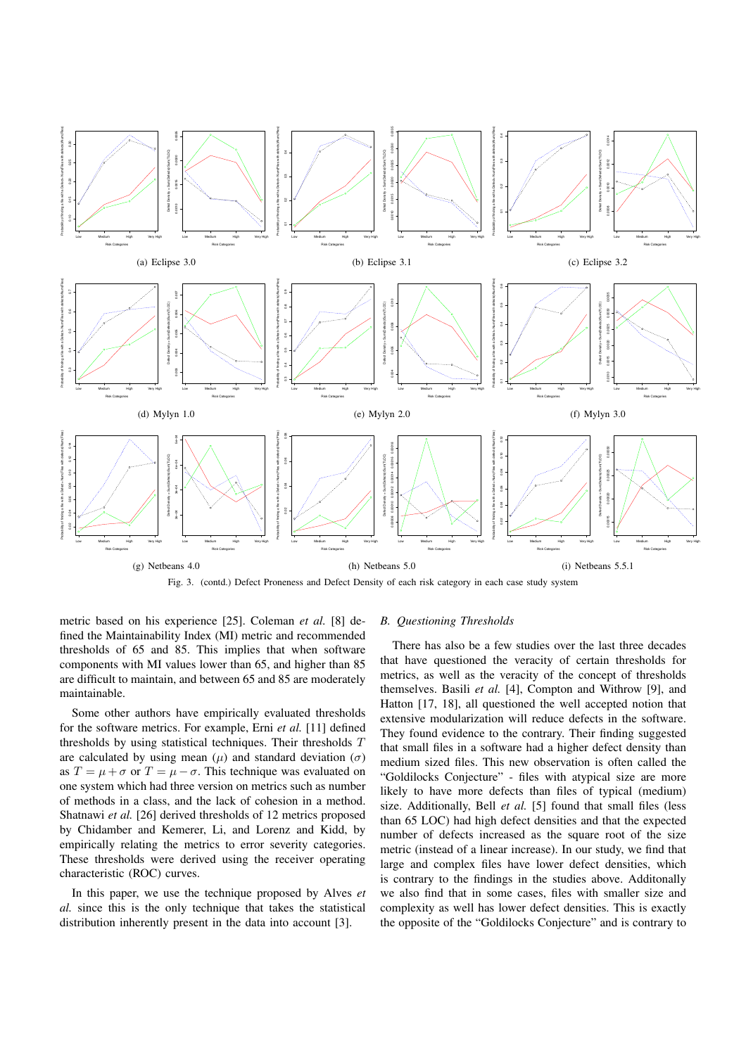

Fig. 3. (contd.) Defect Proneness and Defect Density of each risk category in each case study system

metric based on his experience [25]. Coleman *et al.* [8] defined the Maintainability Index (MI) metric and recommended thresholds of 65 and 85. This implies that when software components with MI values lower than 65, and higher than 85 are difficult to maintain, and between 65 and 85 are moderately maintainable.

Some other authors have empirically evaluated thresholds for the software metrics. For example, Erni *et al.* [11] defined thresholds by using statistical techniques. Their thresholds *T* are calculated by using mean  $(\mu)$  and standard deviation  $(\sigma)$ as  $T = \mu + \sigma$  or  $T = \mu - \sigma$ . This technique was evaluated on one system which had three version on metrics such as number of methods in a class, and the lack of cohesion in a method. Shatnawi *et al.* [26] derived thresholds of 12 metrics proposed by Chidamber and Kemerer, Li, and Lorenz and Kidd, by empirically relating the metrics to error severity categories. These thresholds were derived using the receiver operating characteristic (ROC) curves.

In this paper, we use the technique proposed by Alves *et al.* since this is the only technique that takes the statistical distribution inherently present in the data into account [3].

#### *B. Questioning Thresholds*

There has also be a few studies over the last three decades that have questioned the veracity of certain thresholds for metrics, as well as the veracity of the concept of thresholds themselves. Basili *et al.* [4], Compton and Withrow [9], and Hatton [17, 18], all questioned the well accepted notion that extensive modularization will reduce defects in the software. They found evidence to the contrary. Their finding suggested that small files in a software had a higher defect density than medium sized files. This new observation is often called the "Goldilocks Conjecture" - files with atypical size are more likely to have more defects than files of typical (medium) size. Additionally, Bell *et al.* [5] found that small files (less than 65 LOC) had high defect densities and that the expected number of defects increased as the square root of the size metric (instead of a linear increase). In our study, we find that large and complex files have lower defect densities, which is contrary to the findings in the studies above. Additonally we also find that in some cases, files with smaller size and complexity as well has lower defect densities. This is exactly the opposite of the "Goldilocks Conjecture" and is contrary to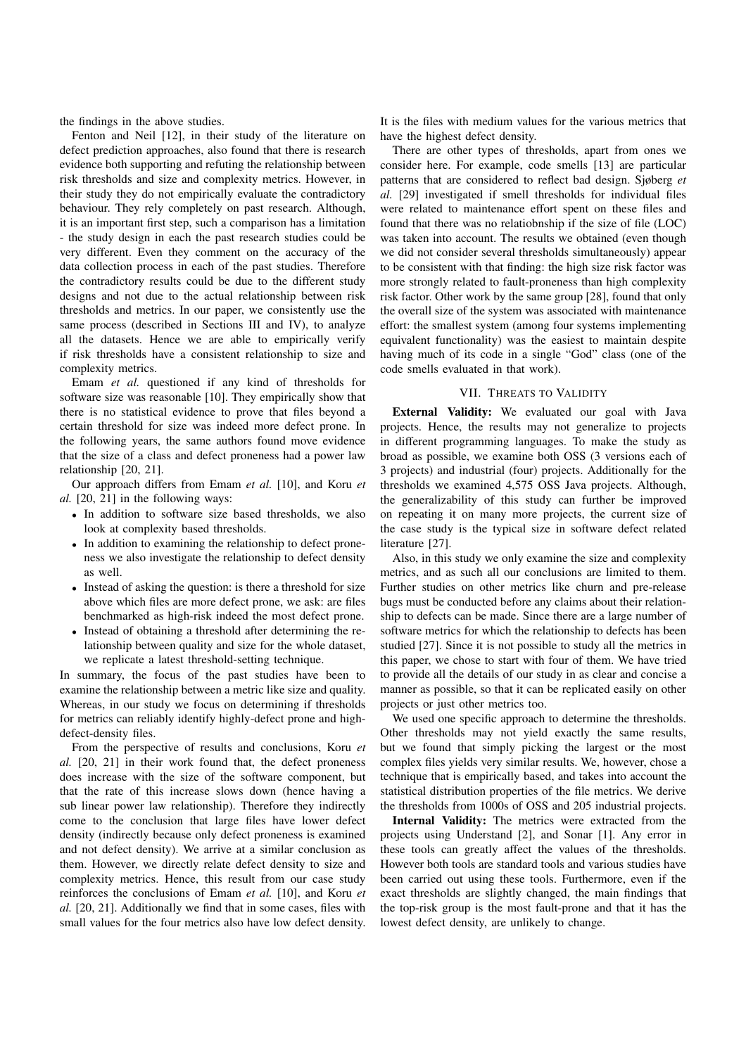the findings in the above studies.

Fenton and Neil [12], in their study of the literature on defect prediction approaches, also found that there is research evidence both supporting and refuting the relationship between risk thresholds and size and complexity metrics. However, in their study they do not empirically evaluate the contradictory behaviour. They rely completely on past research. Although, it is an important first step, such a comparison has a limitation - the study design in each the past research studies could be very different. Even they comment on the accuracy of the data collection process in each of the past studies. Therefore the contradictory results could be due to the different study designs and not due to the actual relationship between risk thresholds and metrics. In our paper, we consistently use the same process (described in Sections III and IV), to analyze all the datasets. Hence we are able to empirically verify if risk thresholds have a consistent relationship to size and complexity metrics.

Emam *et al.* questioned if any kind of thresholds for software size was reasonable [10]. They empirically show that there is no statistical evidence to prove that files beyond a certain threshold for size was indeed more defect prone. In the following years, the same authors found move evidence that the size of a class and defect proneness had a power law relationship [20, 21].

Our approach differs from Emam *et al.* [10], and Koru *et al.* [20, 21] in the following ways:

- *•* In addition to software size based thresholds, we also look at complexity based thresholds.
- In addition to examining the relationship to defect proneness we also investigate the relationship to defect density as well.
- Instead of asking the question: is there a threshold for size above which files are more defect prone, we ask: are files benchmarked as high-risk indeed the most defect prone.
- *•* Instead of obtaining a threshold after determining the relationship between quality and size for the whole dataset, we replicate a latest threshold-setting technique.

In summary, the focus of the past studies have been to examine the relationship between a metric like size and quality. Whereas, in our study we focus on determining if thresholds for metrics can reliably identify highly-defect prone and highdefect-density files.

From the perspective of results and conclusions, Koru *et al.* [20, 21] in their work found that, the defect proneness does increase with the size of the software component, but that the rate of this increase slows down (hence having a sub linear power law relationship). Therefore they indirectly come to the conclusion that large files have lower defect density (indirectly because only defect proneness is examined and not defect density). We arrive at a similar conclusion as them. However, we directly relate defect density to size and complexity metrics. Hence, this result from our case study reinforces the conclusions of Emam *et al.* [10], and Koru *et al.* [20, 21]. Additionally we find that in some cases, files with small values for the four metrics also have low defect density.

It is the files with medium values for the various metrics that have the highest defect density.

There are other types of thresholds, apart from ones we consider here. For example, code smells [13] are particular patterns that are considered to reflect bad design. Sjøberg *et al.* [29] investigated if smell thresholds for individual files were related to maintenance effort spent on these files and found that there was no relatiobnship if the size of file (LOC) was taken into account. The results we obtained (even though we did not consider several thresholds simultaneously) appear to be consistent with that finding: the high size risk factor was more strongly related to fault-proneness than high complexity risk factor. Other work by the same group [28], found that only the overall size of the system was associated with maintenance effort: the smallest system (among four systems implementing equivalent functionality) was the easiest to maintain despite having much of its code in a single "God" class (one of the code smells evaluated in that work).

### VII. THREATS TO VALIDITY

External Validity: We evaluated our goal with Java projects. Hence, the results may not generalize to projects in different programming languages. To make the study as broad as possible, we examine both OSS (3 versions each of 3 projects) and industrial (four) projects. Additionally for the thresholds we examined 4,575 OSS Java projects. Although, the generalizability of this study can further be improved on repeating it on many more projects, the current size of the case study is the typical size in software defect related literature [27].

Also, in this study we only examine the size and complexity metrics, and as such all our conclusions are limited to them. Further studies on other metrics like churn and pre-release bugs must be conducted before any claims about their relationship to defects can be made. Since there are a large number of software metrics for which the relationship to defects has been studied [27]. Since it is not possible to study all the metrics in this paper, we chose to start with four of them. We have tried to provide all the details of our study in as clear and concise a manner as possible, so that it can be replicated easily on other projects or just other metrics too.

We used one specific approach to determine the thresholds. Other thresholds may not yield exactly the same results, but we found that simply picking the largest or the most complex files yields very similar results. We, however, chose a technique that is empirically based, and takes into account the statistical distribution properties of the file metrics. We derive the thresholds from 1000s of OSS and 205 industrial projects.

Internal Validity: The metrics were extracted from the projects using Understand [2], and Sonar [1]. Any error in these tools can greatly affect the values of the thresholds. However both tools are standard tools and various studies have been carried out using these tools. Furthermore, even if the exact thresholds are slightly changed, the main findings that the top-risk group is the most fault-prone and that it has the lowest defect density, are unlikely to change.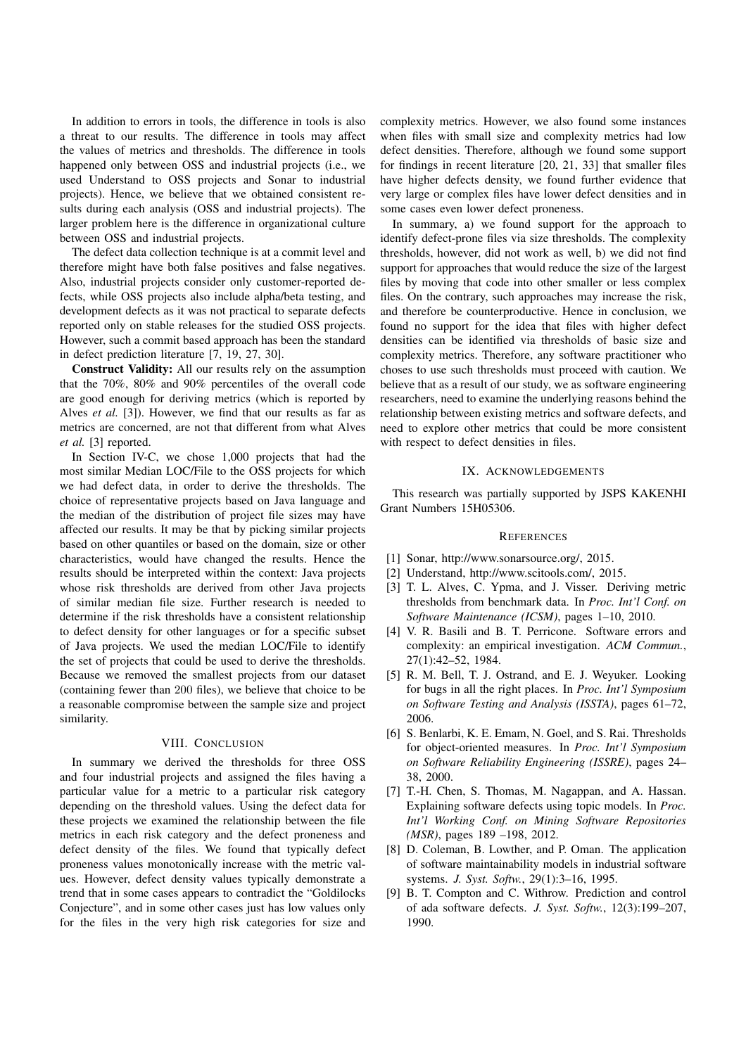In addition to errors in tools, the difference in tools is also a threat to our results. The difference in tools may affect the values of metrics and thresholds. The difference in tools happened only between OSS and industrial projects (i.e., we used Understand to OSS projects and Sonar to industrial projects). Hence, we believe that we obtained consistent results during each analysis (OSS and industrial projects). The larger problem here is the difference in organizational culture between OSS and industrial projects.

The defect data collection technique is at a commit level and therefore might have both false positives and false negatives. Also, industrial projects consider only customer-reported defects, while OSS projects also include alpha/beta testing, and development defects as it was not practical to separate defects reported only on stable releases for the studied OSS projects. However, such a commit based approach has been the standard in defect prediction literature [7, 19, 27, 30].

Construct Validity: All our results rely on the assumption that the 70%, 80% and 90% percentiles of the overall code are good enough for deriving metrics (which is reported by Alves *et al.* [3]). However, we find that our results as far as metrics are concerned, are not that different from what Alves *et al.* [3] reported.

In Section IV-C, we chose 1,000 projects that had the most similar Median LOC/File to the OSS projects for which we had defect data, in order to derive the thresholds. The choice of representative projects based on Java language and the median of the distribution of project file sizes may have affected our results. It may be that by picking similar projects based on other quantiles or based on the domain, size or other characteristics, would have changed the results. Hence the results should be interpreted within the context: Java projects whose risk thresholds are derived from other Java projects of similar median file size. Further research is needed to determine if the risk thresholds have a consistent relationship to defect density for other languages or for a specific subset of Java projects. We used the median LOC/File to identify the set of projects that could be used to derive the thresholds. Because we removed the smallest projects from our dataset (containing fewer than 200 files), we believe that choice to be a reasonable compromise between the sample size and project similarity.

## VIII. CONCLUSION

In summary we derived the thresholds for three OSS and four industrial projects and assigned the files having a particular value for a metric to a particular risk category depending on the threshold values. Using the defect data for these projects we examined the relationship between the file metrics in each risk category and the defect proneness and defect density of the files. We found that typically defect proneness values monotonically increase with the metric values. However, defect density values typically demonstrate a trend that in some cases appears to contradict the "Goldilocks Conjecture", and in some other cases just has low values only for the files in the very high risk categories for size and complexity metrics. However, we also found some instances when files with small size and complexity metrics had low defect densities. Therefore, although we found some support for findings in recent literature [20, 21, 33] that smaller files have higher defects density, we found further evidence that very large or complex files have lower defect densities and in some cases even lower defect proneness.

In summary, a) we found support for the approach to identify defect-prone files via size thresholds. The complexity thresholds, however, did not work as well, b) we did not find support for approaches that would reduce the size of the largest files by moving that code into other smaller or less complex files. On the contrary, such approaches may increase the risk, and therefore be counterproductive. Hence in conclusion, we found no support for the idea that files with higher defect densities can be identified via thresholds of basic size and complexity metrics. Therefore, any software practitioner who choses to use such thresholds must proceed with caution. We believe that as a result of our study, we as software engineering researchers, need to examine the underlying reasons behind the relationship between existing metrics and software defects, and need to explore other metrics that could be more consistent with respect to defect densities in files.

#### IX. ACKNOWLEDGEMENTS

This research was partially supported by JSPS KAKENHI Grant Numbers 15H05306.

#### **REFERENCES**

- [1] Sonar, http://www.sonarsource.org/, 2015.
- [2] Understand, http://www.scitools.com/, 2015.
- [3] T. L. Alves, C. Ypma, and J. Visser. Deriving metric thresholds from benchmark data. In *Proc. Int'l Conf. on Software Maintenance (ICSM)*, pages 1–10, 2010.
- [4] V. R. Basili and B. T. Perricone. Software errors and complexity: an empirical investigation. *ACM Commun.*, 27(1):42–52, 1984.
- [5] R. M. Bell, T. J. Ostrand, and E. J. Weyuker. Looking for bugs in all the right places. In *Proc. Int'l Symposium on Software Testing and Analysis (ISSTA)*, pages 61–72, 2006.
- [6] S. Benlarbi, K. E. Emam, N. Goel, and S. Rai. Thresholds for object-oriented measures. In *Proc. Int'l Symposium on Software Reliability Engineering (ISSRE)*, pages 24– 38, 2000.
- [7] T.-H. Chen, S. Thomas, M. Nagappan, and A. Hassan. Explaining software defects using topic models. In *Proc. Int'l Working Conf. on Mining Software Repositories (MSR)*, pages 189 –198, 2012.
- [8] D. Coleman, B. Lowther, and P. Oman. The application of software maintainability models in industrial software systems. *J. Syst. Softw.*, 29(1):3–16, 1995.
- [9] B. T. Compton and C. Withrow. Prediction and control of ada software defects. *J. Syst. Softw.*, 12(3):199–207, 1990.